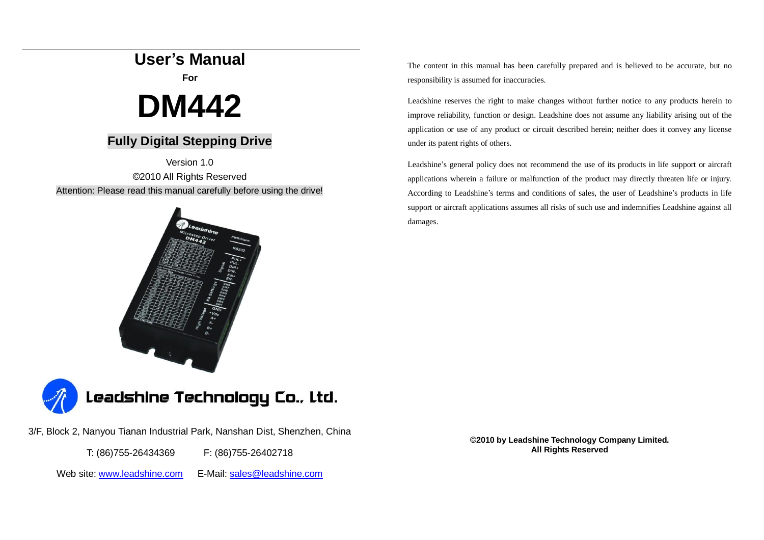## **User's Manual**

**For** 

# **DM442**

## **Fully Digital Stepping Drive**

Version 1.0 ©2010 All Rights Reserved Attention: Please read this manual carefully before using the drive!





3/F, Block 2, Nanyou Tianan Industrial Park, Nanshan Dist, Shenzhen, China

T: (86)755-26434369 F: (86)755-26402718

Web site: [www.leadshine.com](http://www.leadshine.com)  E-Mail: [sales@leadshine.com](mailto:sales@leadshine.com)

The content in this manual has been carefully prepared and is believed to be accurate, but no responsibility is assumed for inaccuracies.

Leadshine reserves the right to make changes without further notice to any products herein to improve reliability, function or design. Leadshine does not assume any liability arising out of the application or use of any product or circuit described herein; neither does it convey any license under its patent rights of others.

Leadshine's general policy does not recommend the use of its products in life support or aircraft applications wherein a failure or malfunction of the product may directly threaten life or injury. According to Leadshine's terms and conditions of sales, the user of Leadshine's products in life support or aircraft applications assumes all risks of such use and indemnifies Leadshine against all damages.

> ©**2010 by Leadshine Technology Company Limited. All Rights Reserved**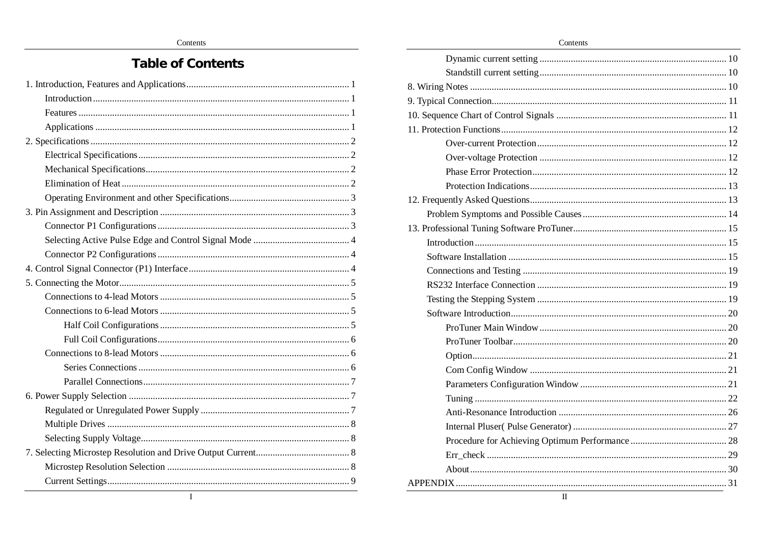## **Table of Contents**

| T |  |
|---|--|

Contents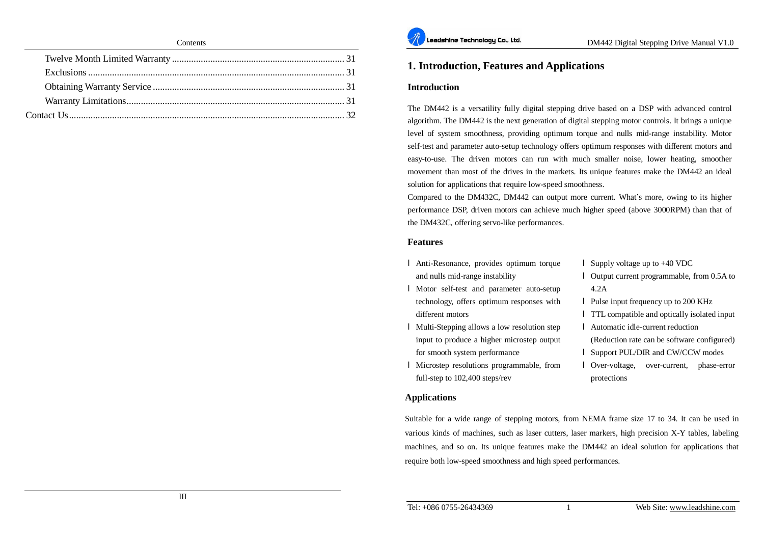

#### **1. Introduction, Features and Applications**

#### **Introduction**

The DM442 is a versatility fully digital stepping drive based on a DSP with advanced control algorithm. The DM442 is the next generation of digital stepping motor controls. It brings a unique level of system smoothness, providing optimum torque and nulls mid-range instability. Motor self-test and parameter auto-setup technology offers optimum responses with different motors and easy-to-use. The driven motors can run with much smaller noise, lower heating, smoother movement than most of the drives in the markets. Its unique features make the DM442 an ideal solution for applications that require low-speed smoothness.

Compared to the DM432C, DM442 can output more current. What's more, owing to its higher performance DSP, driven motors can achieve much higher speed (above 3000RPM) than that of the DM432C, offering servo-like performances.

#### **Features**

- l Anti-Resonance, provides optimum torque and nulls mid-range instability
- l Motor self-test and parameter auto-setup technology, offers optimum responses with different motors
- l Multi-Stepping allows a low resolution step input to produce a higher microstep output for smooth system performance
- l Microstep resolutions programmable, from full-step to 102,400 steps/rev
- l Supply voltage up to +40 VDC
- l Output current programmable, from 0.5A to 4.2A
- l Pulse input frequency up to 200 KHz
- l TTL compatible and optically isolated input
- l Automatic idle-current reduction
- (Reduction rate can be software configured)
- l Support PUL/DIR and CW/CCW modes
- l Over-voltage, over-current, phase-error protections

#### **Applications**

Suitable for a wide range of stepping motors, from NEMA frame size 17 to 34. It can be used in various kinds of machines, such as laser cutters, laser markers, high precision X-Y tables, labeling machines, and so on. Its unique features make the DM442 an ideal solution for applications that require both low-speed smoothness and high speed performances.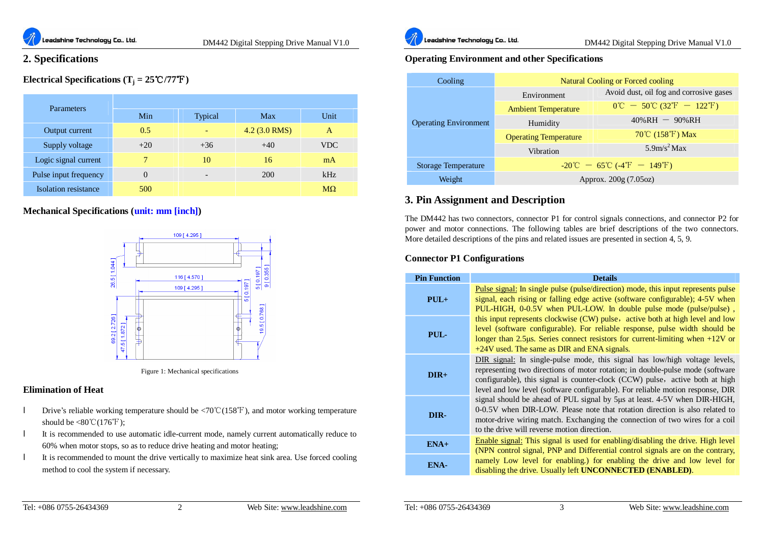

### **2. Specifications**

#### **Electrical Specifications**  $(T_j = 25^{\circ}\text{C}/77^{\circ}\text{F})$

|  | <b>Parameters</b>           |       |         |                 |            |  |
|--|-----------------------------|-------|---------|-----------------|------------|--|
|  |                             | Min   | Typical | Max             | Unit       |  |
|  | Output current              | 0.5   |         | $4.2$ (3.0 RMS) | A          |  |
|  | Supply voltage              | $+20$ | $+36$   | $+40$           | <b>VDC</b> |  |
|  | Logic signal current        |       | 10      | 16              | mA         |  |
|  | Pulse input frequency       | 0     |         | 200             | kHz        |  |
|  | <b>Isolation</b> resistance | 500   |         |                 | $M\Omega$  |  |

#### **Mechanical Specifications (unit: mm [inch])**



Figure 1: Mechanical specifications

#### **Elimination of Heat**

- l Drive's reliable working temperature should be <70℃(158℉), and motor working temperature should be  $<80^{\circ}\text{C}(176^{\circ}\text{F})$ ;
- l It is recommended to use automatic idle-current mode, namely current automatically reduce to 60% when motor stops, so as to reduce drive heating and motor heating;
- l It is recommended to mount the drive vertically to maximize heat sink area. Use forced cooling method to cool the system if necessary.



#### **Operating Environment and other Specifications**

| Cooling                      | <b>Natural Cooling or Forced cooling</b>                                            |                                                                                     |  |  |
|------------------------------|-------------------------------------------------------------------------------------|-------------------------------------------------------------------------------------|--|--|
|                              | Environment                                                                         | Avoid dust, oil fog and corrosive gases                                             |  |  |
| <b>Operating Environment</b> | <b>Ambient Temperature</b>                                                          | $0^{\circ}\text{C} - 50^{\circ}\text{C} (32^{\circ}\text{F} - 122^{\circ}\text{F})$ |  |  |
|                              | Humidity                                                                            | $40\% RH - 90\%RH$                                                                  |  |  |
|                              | <b>Operating Temperature</b>                                                        | $70^{\circ}$ C (158 $^{\circ}$ F) Max                                               |  |  |
|                              | Vibration                                                                           | $5.9$ m/s <sup>2</sup> Max                                                          |  |  |
| <b>Storage Temperature</b>   | $-20^{\circ}\text{C} - 65^{\circ}\text{C}$ (-4 <sup>°</sup> F - 149 <sup>°</sup> F) |                                                                                     |  |  |
| Weight                       | Approx. 200g (7.05oz)                                                               |                                                                                     |  |  |

#### **3. Pin Assignment and Description**

The DM442 has two connectors, connector P1 for control signals connections, and connector P2 for power and motor connections. The following tables are brief descriptions of the two connectors. More detailed descriptions of the pins and related issues are presented in section 4, 5, 9.

#### **Connector P1 Configurations**

| <b>Pin Function</b> | <b>Details</b>                                                                                                                                                                                                                                                                                                                |
|---------------------|-------------------------------------------------------------------------------------------------------------------------------------------------------------------------------------------------------------------------------------------------------------------------------------------------------------------------------|
| $PUL+$              | <b>Pulse signal:</b> In single pulse (pulse/direction) mode, this input represents pulse<br>signal, each rising or falling edge active (software configurable); 4-5V when<br>PUL-HIGH, 0-0.5V when PUL-LOW. In double pulse mode (pulse/pulse),                                                                               |
| PUL-                | this input represents clockwise (CW) pulse, active both at high level and low<br>level (software configurable). For reliable response, pulse width should be<br>longer than 2.5 $\mu$ s. Series connect resistors for current-limiting when $+12V$ or<br>$+24V$ used. The same as DIR and ENA signals.                        |
| $DIR+$              | DIR signal: In single-pulse mode, this signal has low/high voltage levels,<br>representing two directions of motor rotation; in double-pulse mode (software<br>configurable), this signal is counter-clock (CCW) pulse, active both at high<br>level and low level (software configurable). For reliable motion response, DIR |
| DIR-                | signal should be ahead of PUL signal by 5 us at least. 4-5V when DIR-HIGH,<br>0-0.5V when DIR-LOW. Please note that rotation direction is also related to<br>motor-drive wiring match. Exchanging the connection of two wires for a coil<br>to the drive will reverse motion direction.                                       |
| $ENA+$              | Enable signal: This signal is used for enabling/disabling the drive. High level<br>(NPN control signal, PNP and Differential control signals are on the contrary,                                                                                                                                                             |
| ENA-                | namely Low level for enabling.) for enabling the drive and low level for<br>disabling the drive. Usually left <b>UNCONNECTED</b> ( <b>ENABLED</b> ).                                                                                                                                                                          |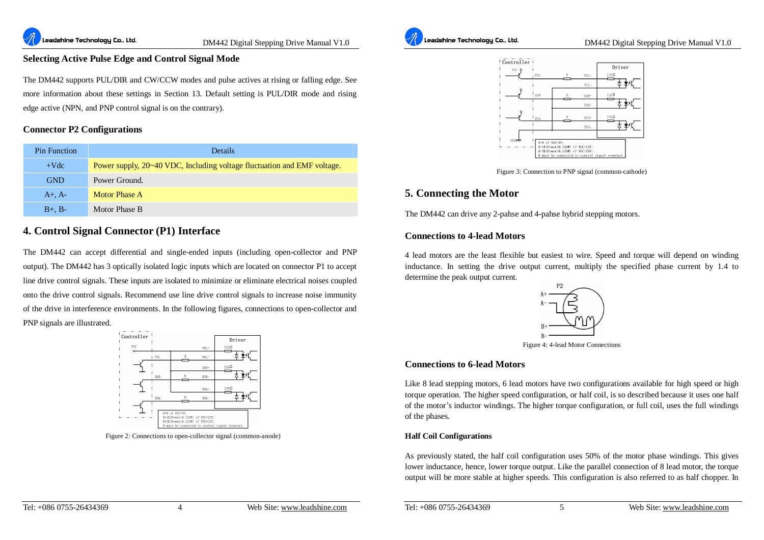#### **Selecting Active Pulse Edge and Control Signal Mode**

The DM442 supports PUL/DIR and CW/CCW modes and pulse actives at rising or falling edge. See more information about these settings in Section 13. Default setting is PUL/DIR mode and rising edge active (NPN, and PNP control signal is on the contrary).

#### **Connector P2 Configurations**

| <b>Pin Function</b> | <b>Details</b>                                                          |
|---------------------|-------------------------------------------------------------------------|
| $+Vdc$              | Power supply, 20~40 VDC, Including voltage fluctuation and EMF voltage. |
| <b>GND</b>          | Power Ground.                                                           |
| $A+$ , $A-$         | Motor Phase A                                                           |
| $B+$ , $B-$         | Motor Phase B                                                           |

#### **4. Control Signal Connector (P1) Interface**

The DM442 can accept differential and single-ended inputs (including open-collector and PNP output). The DM442 has 3 optically isolated logic inputs which are located on connector P1 to accept line drive control signals. These inputs are isolated to minimize or eliminate electrical noises coupled onto the drive control signals. Recommend use line drive control signals to increase noise immunity of the drive in interference environments. In the following figures, connections to open-collector and PNP signals are illustrated.



Figure 2: Connections to open-collector signal (common-anode)





Figure 3: Connection to PNP signal (common-cathode)

#### **5. Connecting the Motor**

The DM442 can drive any 2-pahse and 4-pahse hybrid stepping motors.

#### **Connections to 4-lead Motors**

4 lead motors are the least flexible but easiest to wire. Speed and torque will depend on winding inductance. In setting the drive output current, multiply the specified phase current by 1.4 to determine the peak output current.



Figure 4: 4-lead Motor Connections

#### **Connections to 6-lead Motors**

Like 8 lead stepping motors, 6 lead motors have two configurations available for high speed or high torque operation. The higher speed configuration, or half coil, is so described because it uses one half of the motor's inductor windings. The higher torque configuration, or full coil, uses the full windings of the phases.

#### **Half Coil Configurations**

As previously stated, the half coil configuration uses 50% of the motor phase windings. This gives lower inductance, hence, lower torque output. Like the parallel connection of 8 lead motor, the torque output will be more stable at higher speeds. This configuration is also referred to as half chopper. In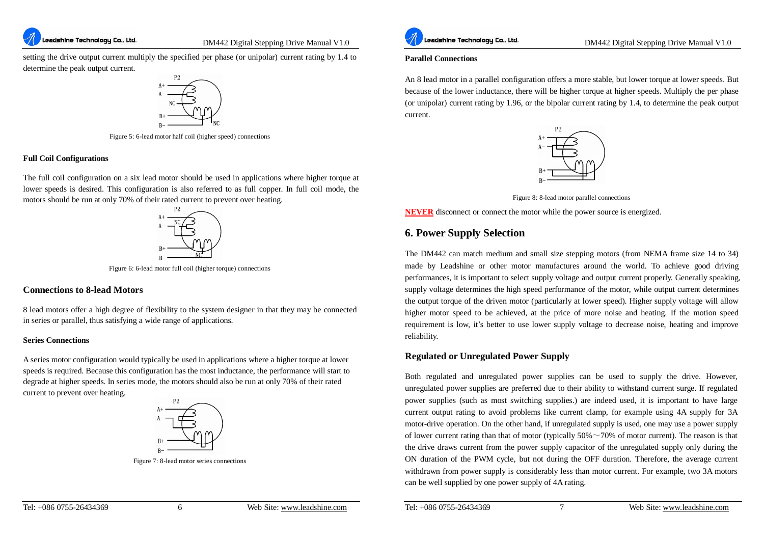setting the drive output current multiply the specified per phase (or unipolar) current rating by 1.4 to determine the peak output current.



Figure 5: 6-lead motor half coil (higher speed) connections

#### **Full Coil Configurations**

The full coil configuration on a six lead motor should be used in applications where higher torque at lower speeds is desired. This configuration is also referred to as full copper. In full coil mode, the motors should be run at only 70% of their rated current to prevent over heating.



Figure 6: 6-lead motor full coil (higher torque) connections

#### **Connections to 8-lead Motors**

8 lead motors offer a high degree of flexibility to the system designer in that they may be connected in series or parallel, thus satisfying a wide range of applications.

#### **Series Connections**

A series motor configuration would typically be used in applications where a higher torque at lower speeds is required. Because this configuration has the most inductance, the performance will start to degrade at higher speeds. In series mode, the motors should also be run at only 70% of their rated current to prevent over heating.



Figure 7: 8-lead motor series connections



DM442 Digital Stepping Drive Manual V1.0

#### **Parallel Connections**

An 8 lead motor in a parallel configuration offers a more stable, but lower torque at lower speeds. But because of the lower inductance, there will be higher torque at higher speeds. Multiply the per phase (or unipolar) current rating by 1.96, or the bipolar current rating by 1.4, to determine the peak output current.



Figure 8: 8-lead motor parallel connections

**NEVER** disconnect or connect the motor while the power source is energized.

#### **6. Power Supply Selection**

The DM442 can match medium and small size stepping motors (from NEMA frame size 14 to 34) made by Leadshine or other motor manufactures around the world. To achieve good driving performances, it is important to select supply voltage and output current properly. Generally speaking, supply voltage determines the high speed performance of the motor, while output current determines the output torque of the driven motor (particularly at lower speed). Higher supply voltage will allow higher motor speed to be achieved, at the price of more noise and heating. If the motion speed requirement is low, it's better to use lower supply voltage to decrease noise, heating and improve reliability.

#### **Regulated or Unregulated Power Supply**

Both regulated and unregulated power supplies can be used to supply the drive. However, unregulated power supplies are preferred due to their ability to withstand current surge. If regulated power supplies (such as most switching supplies.) are indeed used, it is important to have large current output rating to avoid problems like current clamp, for example using 4A supply for 3A motor-drive operation. On the other hand, if unregulated supply is used, one may use a power supply of lower current rating than that of motor (typically  $50\% \sim 70\%$  of motor current). The reason is that the drive draws current from the power supply capacitor of the unregulated supply only during the ON duration of the PWM cycle, but not during the OFF duration. Therefore, the average current withdrawn from power supply is considerably less than motor current. For example, two 3A motors can be well supplied by one power supply of 4A rating.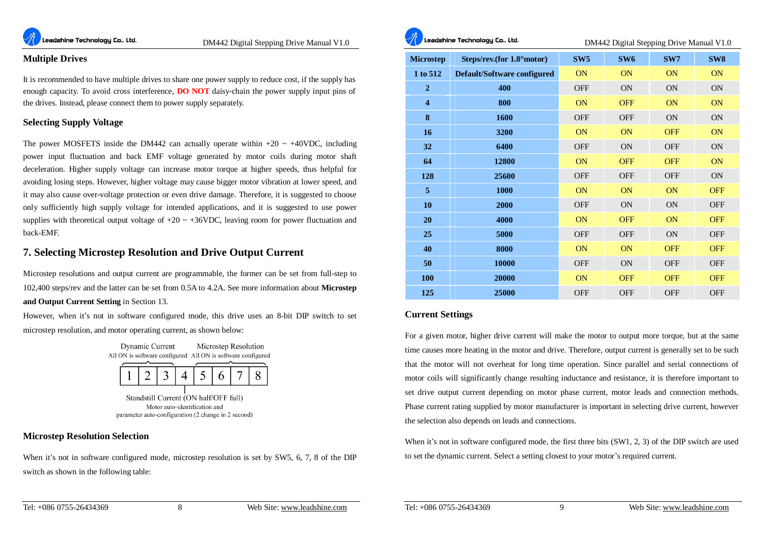

#### **Multiple Drives**

It is recommended to have multiple drives to share one power supply to reduce cost, if the supply has enough capacity. To avoid cross interference, **DO NOT** daisy-chain the power supply input pins of the drives. Instead, please connect them to power supply separately.

#### **Selecting Supply Voltage**

The power MOSFETS inside the DM442 can actually operate within  $+20 \sim +40$ VDC, including power input fluctuation and back EMF voltage generated by motor coils during motor shaft deceleration. Higher supply voltage can increase motor torque at higher speeds, thus helpful for avoiding losing steps. However, higher voltage may cause bigger motor vibration at lower speed, and it may also cause over-voltage protection or even drive damage. Therefore, it is suggested to choose only sufficiently high supply voltage for intended applications, and it is suggested to use power supplies with theoretical output voltage of  $+20 \sim +36$ VDC, leaving room for power fluctuation and back-EMF.

#### **7. Selecting Microstep Resolution and Drive Output Current**

Microstep resolutions and output current are programmable, the former can be set from full-step to 102,400 steps/rev and the latter can be set from 0.5A to 4.2A. See more information about **Microstep and Output Current Setting** in Section 13.

However, when it's not in software configured mode, this drive uses an 8-bit DIP switch to set microstep resolution, and motor operating current, as shown below:





Standstill Current (ON half/OFF full) Motor auto-identification and parameter auto-configuration (2 change in 2 second)

#### **Microstep Resolution Selection**

When it's not in software configured mode, microstep resolution is set by SW5, 6, 7, 8 of the DIP switch as shown in the following table:



.<br>Leadshine Technology Co., Ltd.

DM442 Digital Stepping Drive Manual V1.0

| <b>Microstep</b> | Steps/rev.(for 1.8° motor)  | SW <sub>5</sub> | SW <sub>6</sub> | SW7        | SW <sub>8</sub> |
|------------------|-----------------------------|-----------------|-----------------|------------|-----------------|
| 1 to 512         | Default/Software configured | <b>ON</b>       | ON              | ON         | ON              |
| $\overline{2}$   | 400                         | <b>OFF</b>      | <b>ON</b>       | ON         | ON              |
| $\overline{4}$   | 800                         | <b>ON</b>       | <b>OFF</b>      | ON         | ON              |
| 8                | 1600                        | <b>OFF</b>      | <b>OFF</b>      | ON         | ON              |
| 16               | 3200                        | ON              | ON              | <b>OFF</b> | ON              |
| 32               | 6400                        | <b>OFF</b>      | ON              | <b>OFF</b> | ON              |
| 64               | 12800                       | <b>ON</b>       | <b>OFF</b>      | <b>OFF</b> | ON              |
| 128              | 25600                       | <b>OFF</b>      | <b>OFF</b>      | <b>OFF</b> | ON              |
| 5                | 1000                        | ON              | ON              | ON         | <b>OFF</b>      |
| 10               | 2000                        | <b>OFF</b>      | <b>ON</b>       | ON         | <b>OFF</b>      |
| 20               | 4000                        | ON              | <b>OFF</b>      | ON         | <b>OFF</b>      |
| 25               | 5000                        | <b>OFF</b>      | <b>OFF</b>      | ON         | <b>OFF</b>      |
| 40               | 8000                        | <b>ON</b>       | ON              | <b>OFF</b> | <b>OFF</b>      |
| 50               | 10000                       | <b>OFF</b>      | ON              | <b>OFF</b> | <b>OFF</b>      |
| 100              | 20000                       | <b>ON</b>       | <b>OFF</b>      | <b>OFF</b> | <b>OFF</b>      |
| 125              | 25000                       | <b>OFF</b>      | <b>OFF</b>      | <b>OFF</b> | <b>OFF</b>      |

#### **Current Settings**

For a given motor, higher drive current will make the motor to output more torque, but at the same time causes more heating in the motor and drive. Therefore, output current is generally set to be such that the motor will not overheat for long time operation. Since parallel and serial connections of motor coils will significantly change resulting inductance and resistance, it is therefore important to set drive output current depending on motor phase current, motor leads and connection methods. Phase current rating supplied by motor manufacturer is important in selecting drive current, however the selection also depends on leads and connections.

When it's not in software configured mode, the first three bits (SW1, 2, 3) of the DIP switch are used to set the dynamic current. Select a setting closest to your motor's required current.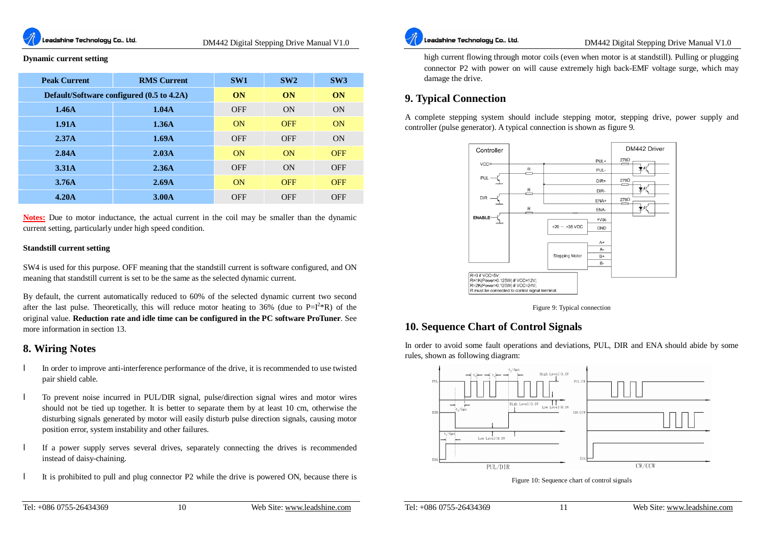#### **Dynamic current setting**

| <b>Peak Current</b>                       | <b>RMS Current</b> | SW <sub>1</sub> | SW2        | SW3        |
|-------------------------------------------|--------------------|-----------------|------------|------------|
| Default/Software configured (0.5 to 4.2A) |                    | ON              | ON         | ON         |
| 1.46A                                     | 1.04A              | <b>OFF</b>      | ON         | ON         |
| 1.91A                                     | 1.36A              | ON              | <b>OFF</b> | ON         |
| 2.37A                                     | 1.69A              | <b>OFF</b>      | <b>OFF</b> | ON         |
| 2.84A                                     | 2.03A              | ON              | ON         | <b>OFF</b> |
| 3.31A                                     | 2.36A              | <b>OFF</b>      | ON         | <b>OFF</b> |
| 3.76A                                     | 2.69A              | ON              | <b>OFF</b> | <b>OFF</b> |
| 4.20A                                     | 3.00A              | <b>OFF</b>      | <b>OFF</b> | <b>OFF</b> |

**Notes:** Due to motor inductance, the actual current in the coil may be smaller than the dynamic current setting, particularly under high speed condition.

#### **Standstill current setting**

SW4 is used for this purpose. OFF meaning that the standstill current is software configured, and ON meaning that standstill current is set to be the same as the selected dynamic current.

By default, the current automatically reduced to 60% of the selected dynamic current two second after the last pulse. Theoretically, this will reduce motor heating to 36% (due to  $P=I^{2*}R$ ) of the original value. **Reduction rate and idle time can be configured in the PC software ProTuner**. See more information in section 13.

#### **8. Wiring Notes**

- l In order to improve anti-interference performance of the drive, it is recommended to use twisted pair shield cable.
- l To prevent noise incurred in PUL/DIR signal, pulse/direction signal wires and motor wires should not be tied up together. It is better to separate them by at least 10 cm, otherwise the disturbing signals generated by motor will easily disturb pulse direction signals, causing motor position error, system instability and other failures.
- l If a power supply serves several drives, separately connecting the drives is recommended instead of daisy-chaining.
- l It is prohibited to pull and plug connector P2 while the drive is powered ON, because there is



DM442 Digital Stepping Drive Manual V1.0

high current flowing through motor coils (even when motor is at standstill). Pulling or plugging connector P2 with power on will cause extremely high back-EMF voltage surge, which may damage the drive.

#### **9. Typical Connection**

A complete stepping system should include stepping motor, stepping drive, power supply and controller (pulse generator). A typical connection is shown as figure 9.



Figure 9: Typical connection

#### **10. Sequence Chart of Control Signals**

In order to avoid some fault operations and deviations, PUL, DIR and ENA should abide by some rules, shown as following diagram:



Figure 10: Sequence chart of control signals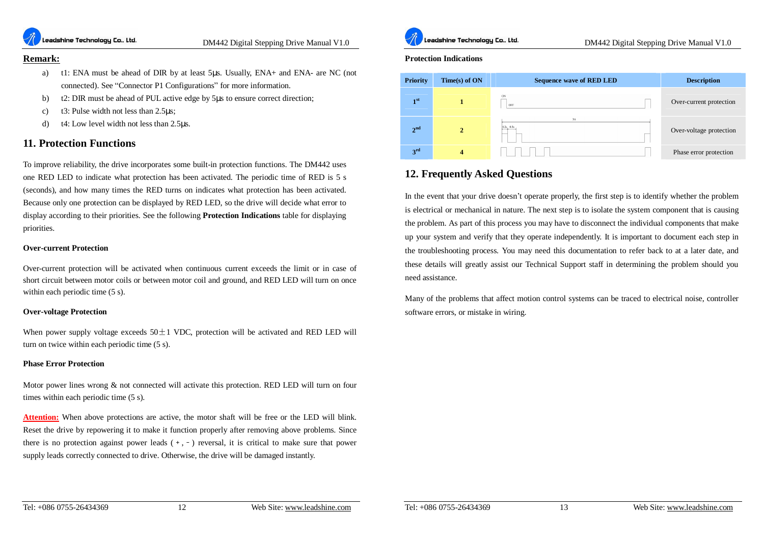

#### **Remark:**

- a) t1: ENA must be ahead of DIR by at least 5μs. Usually, ENA+ and ENA- are NC (not connected). See "Connector P1 Configurations" for more information.
- b) t2: DIR must be ahead of PUL active edge by 5μs to ensure correct direction;
- c) t3: Pulse width not less than 2.5μs;
- d) t4: Low level width not less than 2.5μs.

#### **11. Protection Functions**

To improve reliability, the drive incorporates some built-in protection functions. The DM442 uses one RED LED to indicate what protection has been activated. The periodic time of RED is 5 s (seconds), and how many times the RED turns on indicates what protection has been activated. Because only one protection can be displayed by RED LED, so the drive will decide what error to display according to their priorities. See the following **Protection Indications** table for displaying priorities.

#### **Over-current Protection**

Over-current protection will be activated when continuous current exceeds the limit or in case of short circuit between motor coils or between motor coil and ground, and RED LED will turn on once within each periodic time (5 s).

#### **Over-voltage Protection**

When power supply voltage exceeds  $50\pm1$  VDC, protection will be activated and RED LED will turn on twice within each periodic time (5 s).

#### **Phase Error Protection**

Motor power lines wrong & not connected will activate this protection. RED LED will turn on four times within each periodic time (5 s).

**Attention:** When above protections are active, the motor shaft will be free or the LED will blink. Reset the drive by repowering it to make it function properly after removing above problems. Since there is no protection against power leads  $(+, -)$  reversal, it is critical to make sure that power supply leads correctly connected to drive. Otherwise, the drive will be damaged instantly.



DM442 Digital Stepping Drive Manual V1.0

#### **Protection Indications**



#### **12. Frequently Asked Questions**

In the event that your drive doesn't operate properly, the first step is to identify whether the problem is electrical or mechanical in nature. The next step is to isolate the system component that is causing the problem. As part of this process you may have to disconnect the individual components that make up your system and verify that they operate independently. It is important to document each step in the troubleshooting process. You may need this documentation to refer back to at a later date, and these details will greatly assist our Technical Support staff in determining the problem should you need assistance.

Many of the problems that affect motion control systems can be traced to electrical noise, controller software errors, or mistake in wiring.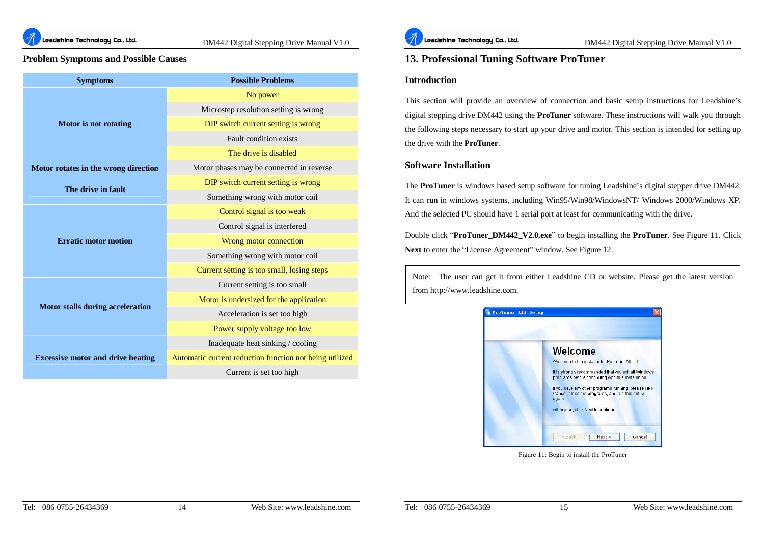

**Leadshine Technology Co., Ltd.** *DM442 Digital Stepping Drive Manual V1.0* 

#### **Problem Symptoms and Possible Causes**

| <b>Symptoms</b>                          | <b>Possible Problems</b>                                |
|------------------------------------------|---------------------------------------------------------|
|                                          | No power                                                |
|                                          | Microstep resolution setting is wrong                   |
| <b>Motor</b> is not rotating             | DIP switch current setting is wrong                     |
|                                          | Fault condition exists                                  |
|                                          | The drive is disabled                                   |
| Motor rotates in the wrong direction     | Motor phases may be connected in reverse.               |
| The drive in fault                       | DIP switch current setting is wrong                     |
|                                          | Something wrong with motor coil                         |
|                                          | Control signal is too weak                              |
|                                          | Control signal is interfered                            |
| <b>Erratic motor motion</b>              | Wrong motor connection                                  |
|                                          | Something wrong with motor coil                         |
|                                          | Current setting is too small, losing steps              |
|                                          | Current setting is too small                            |
| Motor stalls during acceleration         | Motor is undersized for the application                 |
|                                          | Acceleration is set too high                            |
|                                          | Power supply voltage too low                            |
|                                          | Inadequate heat sinking / cooling                       |
| <b>Excessive motor and drive heating</b> | Automatic current reduction function not being utilized |
|                                          | Current is set too high                                 |



#### **13. Professional Tuning Software ProTuner**

#### **Introduction**

This section will provide an overview of connection and basic setup instructions for Leadshine's digital stepping drive DM442 using the **ProTuner** software. These instructions will walk you through the following steps necessary to start up your drive and motor. This section is intended for setting up the drive with the **ProTuner**.

#### **Software Installation**

The **ProTuner** is windows based setup software for tuning Leadshine's digital stepper drive DM442. It can run in windows systems, including Win95/Win98/WindowsNT/ Windows 2000/Windows XP. And the selected PC should have 1 serial port at least for communicating with the drive.

Double click "**ProTuner\_DM442\_V2.0.exe**" to begin installing the **ProTuner**. See Figure 11. Click **Next** to enter the "License Agreement" window. See Figure 12.

Note: The user can get it from either Leadshine CD or website. Please get the latest version from<http://www.leadshine.com>.



Figure 11: Begin to install the ProTuner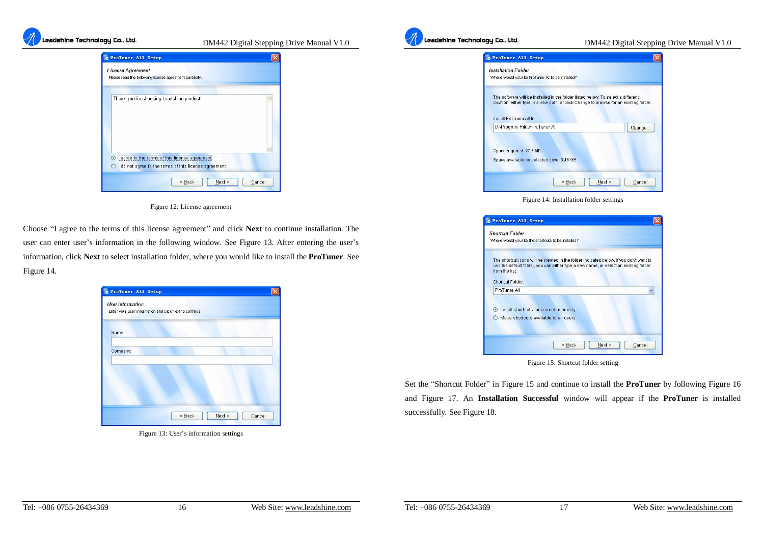

**Leadshine Technology Co., Ltd.** *DM442 Digital Stepping Drive Manual V1.0* 



Figure 12: License agreement

Choose "I agree to the terms of this license agreement" and click **Next** to continue installation. The user can enter user's information in the following window. See Figure 13. After entering the user's information, click **Next** to select installation folder, where you would like to install the **ProTuner**. See Figure 14.

|          | Enter your user information and click Next to continue. |  |
|----------|---------------------------------------------------------|--|
| Name:    |                                                         |  |
| Company: |                                                         |  |
|          |                                                         |  |
|          |                                                         |  |

Figure 13: User's information settings



### **Leadshine Technology Co., Ltd.** *DM442 Digital Stepping Drive Manual V1.0*

| ProTuner All Setup                                                                                                                                                                                     |  |
|--------------------------------------------------------------------------------------------------------------------------------------------------------------------------------------------------------|--|
| <b>Installation Folder</b><br>Where would you like ProTuner All to be installed?                                                                                                                       |  |
| The software will be installed in the folder listed below. To select a different<br>location, either type in a new path, or click Change to browse for an existing folder.<br>Install ProTuner All to: |  |
| D:\Program Files\ProTuner All<br>Change                                                                                                                                                                |  |
| Space required: 27.5 MB<br>Space available on selected drive; 5.46 GB                                                                                                                                  |  |
| Cancel<br>< Back<br>Next                                                                                                                                                                               |  |

Figure 14: Installation folder settings

| <b>Shortcut Folder</b>                                                                                                                                                                                              |  |
|---------------------------------------------------------------------------------------------------------------------------------------------------------------------------------------------------------------------|--|
| Where would you like the shortcuts to be installed?                                                                                                                                                                 |  |
| The shortcut icons will be created in the folder indicated below. If you don't want to<br>use the default folder, you can either type a new name, or select an existing folder<br>from the list<br>Shortcut Folder: |  |
| ProTuner All                                                                                                                                                                                                        |  |
| Install shortcuts for current user only<br>$\odot$<br>Make shortcuts available to all users                                                                                                                         |  |
|                                                                                                                                                                                                                     |  |

Figure 15: Shortcut folder setting

Set the "Shortcut Folder" in Figure 15 and continue to install the **ProTuner** by following Figure 16 and Figure 17. An **Installation Successful** window will appear if the **ProTuner** is installed successfully. See Figure 18.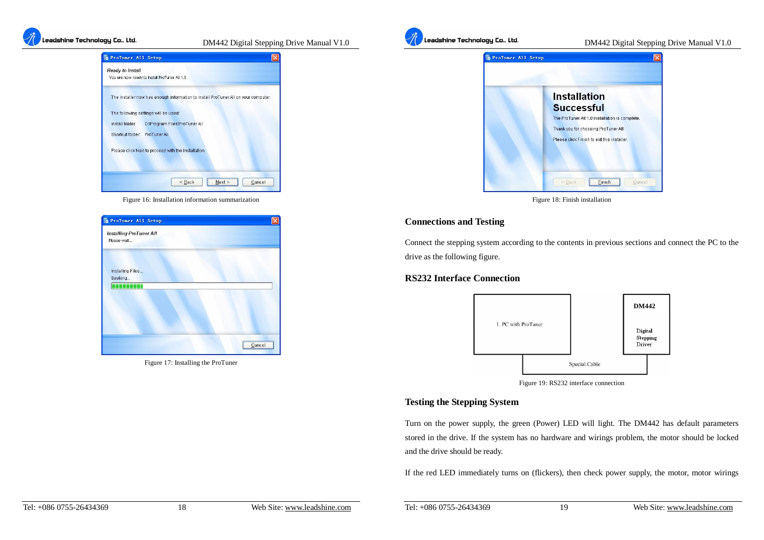

**Leadshine Technology Co., Ltd.** *DM442 Digital Stepping Drive Manual V1.0* 



Figure 16: Installation information summarization

| ProTuner All Setup                            |  |
|-----------------------------------------------|--|
| <b>Installing ProTuner All</b><br>Please wait |  |
| Installing Files<br>Seeking                   |  |
| TEL                                           |  |
|                                               |  |
|                                               |  |
|                                               |  |

Figure 17: Installing the ProTuner



#### **Leadshine Technology Co., Ltd.** *DM442 Digital Stepping Drive Manual V1.0*



Figure 18: Finish installation

#### **Connections and Testing**

Connect the stepping system according to the contents in previous sections and connect the PC to the drive as the following figure.

#### **RS232 Interface Connection**



Figure 19: RS232 interface connection

#### **Testing the Stepping System**

Turn on the power supply, the green (Power) LED will light. The DM442 has default parameters stored in the drive. If the system has no hardware and wirings problem, the motor should be locked and the drive should be ready.

If the red LED immediately turns on (flickers), then check power supply, the motor, motor wirings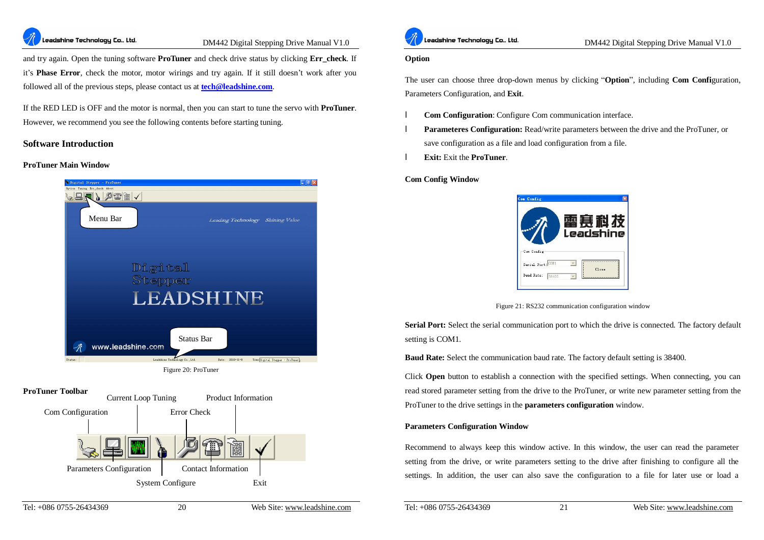

#### **Leadshine Technology Co.. Ltd.** *DM442 Digital Stepping Drive Manual V1.0*

and try again. Open the tuning software **ProTuner** and check drive status by clicking **Err** check. If it's **Phase Error**, check the motor, motor wirings and try again. If it still doesn't work after you followed all of the previous steps, please contact us at **[tech@leadshine.com](mailto:tech@leadshine.com)**.

If the RED LED is OFF and the motor is normal, then you can start to tune the servo with **ProTuner**. However, we recommend you see the following contents before starting tuning.

#### **Software Introduction**

#### **ProTuner Main Window**



#### **ProTuner Toolbar**





.<br>Leadshine Technology Co., Ltd.

#### **Option**

The user can choose three drop-down menus by clicking "**Option**", including **Com Confi**guration, Parameters Configuration, and **Exit**.

- l **Com Configuration**: Configure Com communication interface.
- **Parameteres Configuration:** Read/write parameters between the drive and the ProTuner, or save configuration as a file and load configuration from a file.
- l **Exit:** Exit the **ProTuner**.

#### **Com Config Window**



Figure 21: RS232 communication configuration window

**Serial Port:** Select the serial communication port to which the drive is connected. The factory default setting is COM1.

**Baud Rate:** Select the communication baud rate. The factory default setting is 38400.

Click **Open** button to establish a connection with the specified settings. When connecting, you can read stored parameter setting from the drive to the ProTuner, or write new parameter setting from the ProTuner to the drive settings in the **parameters configuration** window.

#### **Parameters Configuration Window**

Recommend to always keep this window active. In this window, the user can read the parameter setting from the drive, or write parameters setting to the drive after finishing to configure all the settings. In addition, the user can also save the configuration to a file for later use or load a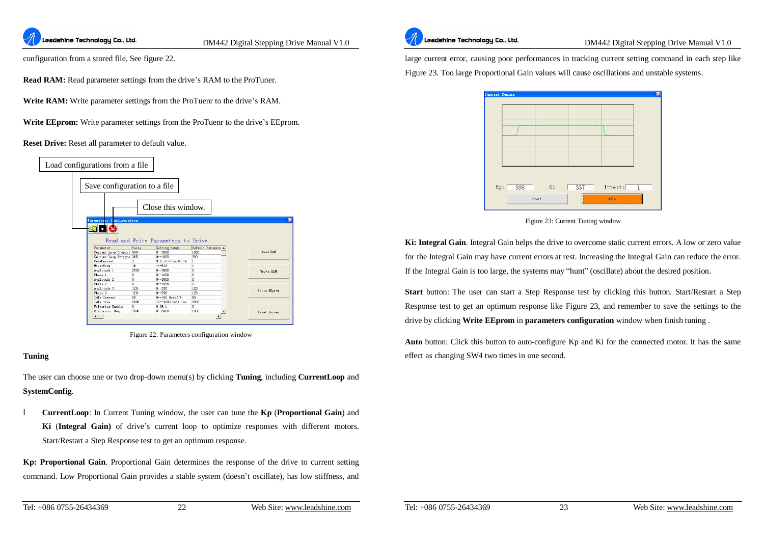

configuration from a stored file. See figure 22.

**Read RAM:** Read parameter settings from the drive's RAM to the ProTuner.

**Write RAM:** Write parameter settings from the ProTuenr to the drive's RAM.

**Write EEprom:** Write parameter settings from the ProTuenr to the drive's EEprom.

**Reset Drive:** Reset all parameter to default value.



Figure 22: Parameters configuration window

#### **Tuning**

The user can choose one or two drop-down menu(s) by clicking **Tuning**, including **CurrentLoop** and **SystemConfig**.

l **CurrentLoop**: In Current Tuning window, the user can tune the **Kp** (**Proportional Gain**) and **Ki** (**Integral Gain)** of drive's current loop to optimize responses with different motors. Start/Restart a Step Response test to get an optimum response.

**Kp: Proportional Gain**. Proportional Gain determines the response of the drive to current setting command. Low Proportional Gain provides a stable system (doesn't oscillate), has low stiffness, and



**Leadshine Technology Co.. Ltd.** DM442 Digital Stepping Drive Manual V1.0

large current error, causing poor performances in tracking current setting command in each step like Figure 23. Too large Proportional Gain values will cause oscillations and unstable systems.



Figure 23: Current Tuning window

**Ki: Integral Gain**. Integral Gain helps the drive to overcome static current errors. A low or zero value for the Integral Gain may have current errors at rest. Increasing the Integral Gain can reduce the error. If the Integral Gain is too large, the systems may "hunt" (oscillate) about the desired position.

**Start** button: The user can start a Step Response test by clicking this button. Start/Restart a Step Response test to get an optimum response like Figure 23, and remember to save the settings to the drive by clicking **Write EEprom** in **parameters configuration** window when finish tuning .

**Auto** button: Click this button to auto-configure Kp and Ki for the connected motor. It has the same effect as changing SW4 two times in one second.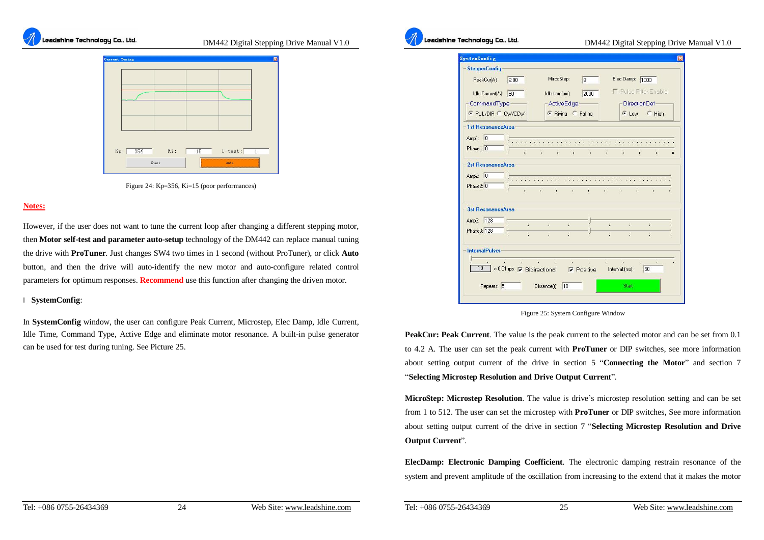

**Leadshine Technology Co.. Ltd.** *DM442 Digital Stepping Drive Manual V1.0* 



Figure 24: Kp=356, Ki=15 (poor performances)

#### **Notes:**

However, if the user does not want to tune the current loop after changing a different stepping motor, then **Motor self-test and parameter auto-setup** technology of the DM442 can replace manual tuning the drive with **ProTuner**. Just changes SW4 two times in 1 second (without ProTuner), or click **Auto** button, and then the drive will auto-identify the new motor and auto-configure related control parameters for optimum responses. **Recommend** use this function after changing the driven motor.

#### l **SystemConfig**:

In **SystemConfig** window, the user can configure Peak Current, Microstep, Elec Damp, Idle Current, Idle Time, Command Type, Active Edge and eliminate motor resonance. A built-in pulse generator can be used for test during tuning. See Picture 25.

#### **Leadshine Technology Co., Ltd.** *DM442 Digital Stepping Drive Manual V1.0*

| ystemConfig               |                                      |                       |                    |                 |                            |                        |                                   | 図  |
|---------------------------|--------------------------------------|-----------------------|--------------------|-----------------|----------------------------|------------------------|-----------------------------------|----|
| <b>StepperConfig</b>      |                                      |                       |                    |                 |                            |                        |                                   |    |
| 2.00<br>PeakCur(A):       |                                      | MircoStep:            |                    | 8               |                            | Elec Damp: 1000        |                                   |    |
| 50<br>Idle Current(%):    |                                      | Idle time(ms):        |                    | 2000            |                            |                        | <b>F</b> Pulse Filter Enable      |    |
| - CommandType-            |                                      |                       | -ActiveEdge-       |                 |                            |                        | DirectionDef-                     |    |
| <b>C PUL/DIR C CW/CCW</b> |                                      |                       | C Rising C Falling |                 |                            |                        | C Low C High                      |    |
| 1st ResonanceArea         |                                      |                       |                    |                 |                            |                        |                                   |    |
| Amp1: $\boxed{0}$         |                                      |                       |                    |                 |                            | 1.1.1.1                |                                   |    |
| Phase1: 0                 | ï.                                   |                       |                    |                 |                            |                        |                                   |    |
|                           |                                      | ń.<br>i.              | $\blacksquare$     | ¥.              | à.                         | à.<br>ń.               | ï.                                | ù. |
| 2st ResonanceArea:        |                                      |                       |                    |                 |                            |                        |                                   |    |
| Amp2: $\boxed{0}$         |                                      |                       |                    |                 |                            |                        |                                   |    |
| Phase2: 0                 | ř.                                   | 8 - 1 - 1 - 1 - 1 - 1 |                    |                 | $\mathbf{r}$<br>$\sim$ 100 | <b>Contract Street</b> | ¥.                                |    |
|                           |                                      |                       |                    |                 |                            |                        |                                   |    |
| 3st ResonanceArea         |                                      |                       |                    |                 |                            |                        |                                   |    |
| Amp3: 128                 |                                      |                       |                    |                 |                            |                        |                                   |    |
| Phase3: 128               | ï.                                   | $\mathbf{r}$          | à.                 |                 | ù.                         | ¥.                     | i.                                | ï. |
| á.                        | î.                                   | ï.                    | ï.                 |                 | ï.                         | ì.                     | ï.                                | ï. |
| <b>InternalPulser</b>     |                                      |                       |                    |                 |                            |                        |                                   |    |
|                           | the contract of the contract of the  |                       |                    | and the control | è.                         | $\mathbf{r}$           | $\Gamma$<br>$\mathbf{R}^{\prime}$ | ï  |
| 10                        | ×0.01 rps 区 Bidirectional 区 Positive |                       |                    |                 | Interval: [ms]:            |                        | 50                                |    |
|                           |                                      |                       |                    |                 |                            |                        |                                   |    |
| Repeats: 5                |                                      | Distance(r):          | 10                 |                 |                            | Start                  |                                   |    |
|                           |                                      |                       |                    |                 |                            |                        |                                   |    |

Figure 25: System Configure Window

**PeakCur: Peak Current**. The value is the peak current to the selected motor and can be set from 0.1 to 4.2 A. The user can set the peak current with **ProTuner** or DIP switches, see more information about setting output current of the drive in section 5 "**Connecting the Motor**" and section 7 "**Selecting Microstep Resolution and Drive Output Current**".

**MicroStep: Microstep Resolution**. The value is drive's microstep resolution setting and can be set from 1 to 512. The user can set the microstep with **ProTuner** or DIP switches, See more information about setting output current of the drive in section 7 "**Selecting Microstep Resolution and Drive Output Current**".

**ElecDamp: Electronic Damping Coefficient**. The electronic damping restrain resonance of the system and prevent amplitude of the oscillation from increasing to the extend that it makes the motor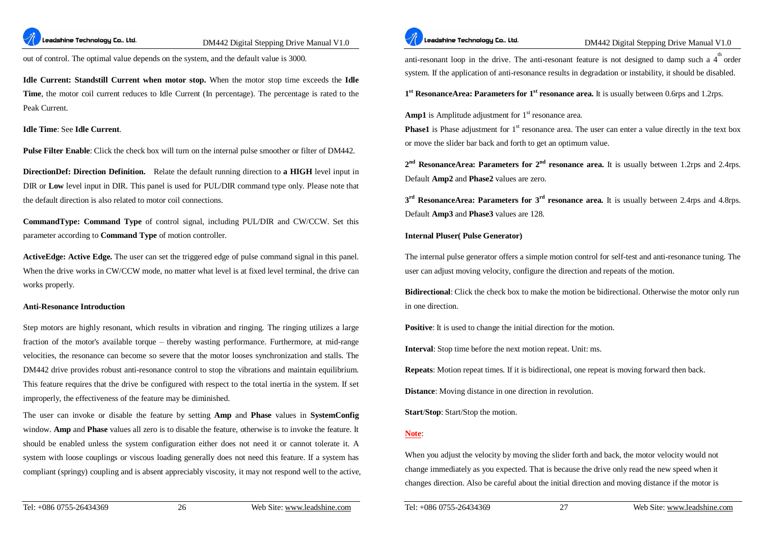

out of control. The optimal value depends on the system, and the default value is 3000.

**Idle Current: Standstill Current when motor stop.** When the motor stop time exceeds the **Idle Time**, the motor coil current reduces to Idle Current (In percentage). The percentage is rated to the Peak Current.

#### **Idle Time**: See **Idle Current**.

**Pulse Filter Enable**: Click the check box will turn on the internal pulse smoother or filter of DM442.

**DirectionDef: Direction Definition.** Relate the default running direction to **a HIGH** level input in DIR or **Low** level input in DIR. This panel is used for PUL/DIR command type only. Please note that the default direction is also related to motor coil connections.

**CommandType: Command Type** of control signal, including PUL/DIR and CW/CCW. Set this parameter according to **Command Type** of motion controller.

**ActiveEdge: Active Edge.** The user can set the triggered edge of pulse command signal in this panel. When the drive works in CW/CCW mode, no matter what level is at fixed level terminal, the drive can works properly.

#### **Anti-Resonance Introduction**

Step motors are highly resonant, which results in vibration and ringing. The ringing utilizes a large fraction of the motor's available torque – thereby wasting performance. Furthermore, at mid-range velocities, the resonance can become so severe that the motor looses synchronization and stalls. The DM442 drive provides robust anti-resonance control to stop the vibrations and maintain equilibrium. This feature requires that the drive be configured with respect to the total inertia in the system. If set improperly, the effectiveness of the feature may be diminished.

The user can invoke or disable the feature by setting **Amp** and **Phase** values in **SystemConfig** window. **Amp** and **Phase** values all zero is to disable the feature, otherwise is to invoke the feature. It should be enabled unless the system configuration either does not need it or cannot tolerate it. A system with loose couplings or viscous loading generally does not need this feature. If a system has compliant (springy) coupling and is absent appreciably viscosity, it may not respond well to the active,



**Leadshine Technology Co., Ltd.** *DM442 Digital Stepping Drive Manual V1.0* 

anti-resonant loop in the drive. The anti-resonant feature is not designed to damp such a  $4^{\text{th}}$  order system. If the application of anti-resonance results in degradation or instability, it should be disabled.

**1 st ResonanceArea: Parameters for 1st resonance area.** It is usually between 0.6rps and 1.2rps.

**Amp1** is Amplitude adjustment for  $1<sup>st</sup>$  resonance area.

**Phase1** is Phase adjustment for 1<sup>st</sup> resonance area. The user can enter a value directly in the text box or move the slider bar back and forth to get an optimum value.

**2 nd ResonanceArea: Parameters for 2nd resonance area.** It is usually between 1.2rps and 2.4rps. Default **Amp2** and **Phase2** values are zero.

**3 rd ResonanceArea: Parameters for 3rd resonance area.** It is usually between 2.4rps and 4.8rps. Default **Amp3** and **Phase3** values are 128.

#### **Internal Pluser( Pulse Generator)**

The internal pulse generator offers a simple motion control for self-test and anti-resonance tuning. The user can adjust moving velocity, configure the direction and repeats of the motion.

**Bidirectional**: Click the check box to make the motion be bidirectional. Otherwise the motor only run in one direction.

**Positive**: It is used to change the initial direction for the motion.

**Interval**: Stop time before the next motion repeat. Unit: ms.

**Repeats**: Motion repeat times. If it is bidirectional, one repeat is moving forward then back.

**Distance**: Moving distance in one direction in revolution.

**Start**/**Stop**: Start/Stop the motion.

#### **Note**:

When you adjust the velocity by moving the slider forth and back, the motor velocity would not change immediately as you expected. That is because the drive only read the new speed when it changes direction. Also be careful about the initial direction and moving distance if the motor is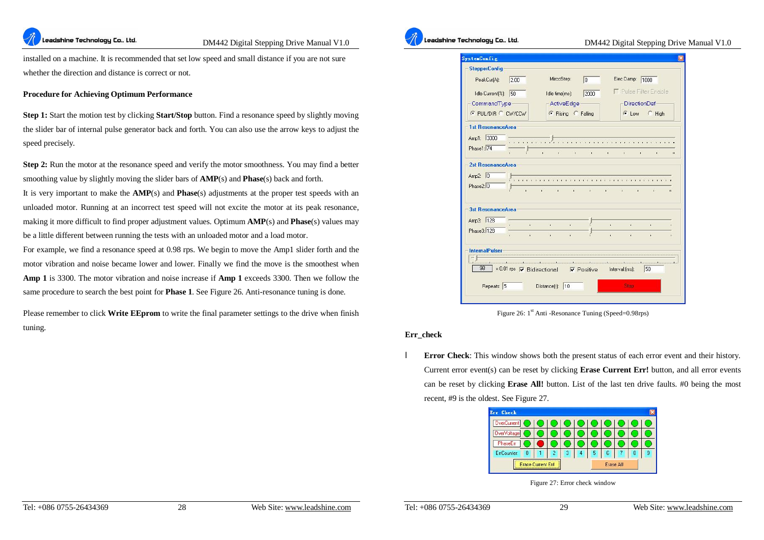

installed on a machine. It is recommended that set low speed and small distance if you are not sure whether the direction and distance is correct or not.

#### **Procedure for Achieving Optimum Performance**

**Step 1:** Start the motion test by clicking **Start/Stop** button. Find a resonance speed by slightly moving the slider bar of internal pulse generator back and forth. You can also use the arrow keys to adjust the speed precisely.

**Step 2:** Run the motor at the resonance speed and verify the motor smoothness. You may find a better smoothing value by slightly moving the slider bars of **AMP**(s) and **Phase**(s) back and forth.

It is very important to make the **AMP**(s) and **Phase**(s) adjustments at the proper test speeds with an unloaded motor. Running at an incorrect test speed will not excite the motor at its peak resonance, making it more difficult to find proper adjustment values. Optimum **AMP**(s) and **Phase**(s) values may be a little different between running the tests with an unloaded motor and a load motor.

For example, we find a resonance speed at 0.98 rps. We begin to move the Amp1 slider forth and the motor vibration and noise became lower and lower. Finally we find the move is the smoothest when **Amp 1** is 3300. The motor vibration and noise increase if **Amp 1** exceeds 3300. Then we follow the same procedure to search the best point for **Phase 1**. See Figure 26. Anti-resonance tuning is done.

Please remember to click **Write EEprom** to write the final parameter settings to the drive when finish tuning.



#### .<br>Leadshine Technology Co., Ltd.

#### DM442 Digital Stepping Drive Manual V1.0

| <b>SystemConfig</b>           |                                                      |                              |                              | ×        |
|-------------------------------|------------------------------------------------------|------------------------------|------------------------------|----------|
| <b>StepperConfig</b>          |                                                      |                              |                              |          |
| PeakCur(A):<br>2.00           | MircoStep:                                           | 8                            | Elec Damp: 1000              |          |
| Idle Current(%):<br>50        | Idle time(ms):                                       | 2000                         | <b>F</b> Pulse Filter Enable |          |
| CommandType                   | ActiveEdge                                           |                              | <b>DirectionDef</b>          |          |
| C PUL/DIR C CW/CCW            | C Rising C Falling                                   |                              | C Low C High                 |          |
| 1st ResonanceArea             |                                                      |                              |                              |          |
| Amp1: 3300                    |                                                      |                              |                              |          |
| $1 - 1 - 1 - 1$<br>Phase1: 74 |                                                      |                              |                              |          |
|                               | r.<br>ä                                              | î.<br>ì.                     | ń<br>r.                      | ï<br>n.  |
| 2st ResonanceArea             |                                                      |                              |                              |          |
| Amp2: $\boxed{0}$             |                                                      |                              |                              |          |
| Phase2: 0                     | $\mathbf{r}$<br>$\mathbf{r}$<br>$\Delta$             | $\mathbf{r}$<br>$\mathbf{r}$ | à.<br>í.                     | ¥.<br>ù. |
|                               |                                                      |                              |                              |          |
| 3st ResonanceArea             |                                                      |                              |                              |          |
| Amp3: 128                     |                                                      |                              |                              |          |
| Phase3: 128                   | ä.<br>ï.<br>ñ.                                       | ï.                           | ï.                           | ï.       |
|                               | á,<br>î.<br>î.                                       | à.                           | ì.                           | í.<br>ï. |
| InternalPulser                |                                                      |                              |                              |          |
|                               |                                                      |                              |                              |          |
| 98                            | $\times 0.01$ rps $\sqrt{\phantom{0}}$ Bidirectional | $\nabla$ Positive            | 50<br>Interval: [ms]:        |          |
|                               |                                                      |                              |                              |          |
| Repeats: 5                    | Distance[r]:<br>10                                   |                              | <b>Stap</b>                  |          |
|                               |                                                      |                              |                              |          |

Figure 26:  $1<sup>st</sup>$  Anti -Resonance Tuning (Speed=0.98rps)

#### **Err\_check**

l **Error Check**: This window shows both the present status of each error event and their history. Current error event(s) can be reset by clicking **Erase Current Err!** button, and all error events can be reset by clicking **Erase All!** button. List of the last ten drive faults. #0 being the most recent, #9 is the oldest. See Figure 27.



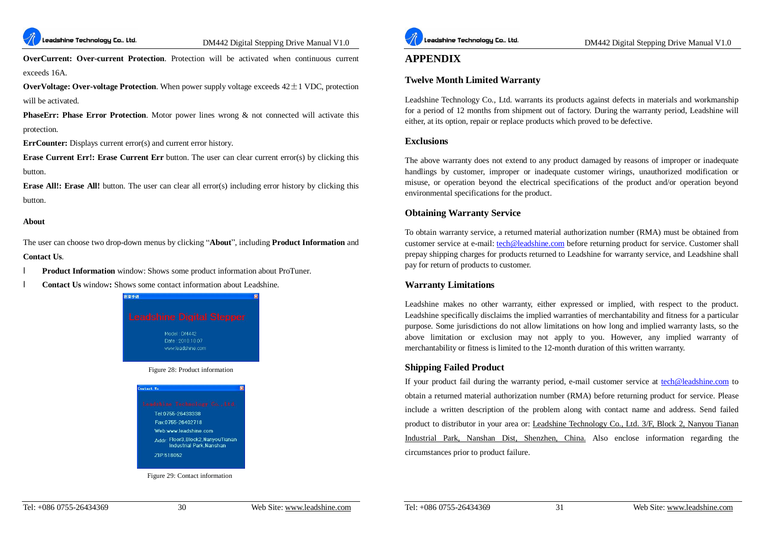

**OverCurrent: Over-current Protection**. Protection will be activated when continuous current exceeds 16A.

**OverVoltage: Over-voltage Protection**. When power supply voltage exceeds  $42 \pm 1$  VDC, protection will be activated.

**PhaseErr: Phase Error Protection**. Motor power lines wrong & not connected will activate this protection.

**ErrCounter:** Displays current error(s) and current error history.

**Erase Current Err!: Erase Current Err** button. The user can clear current error(s) by clicking this button.

**Erase All!: Erase All!** button. The user can clear all error(s) including error history by clicking this button.

#### **About**

The user can choose two drop-down menus by clicking "**About**", including **Product Information** and **Contact Us**.

- l **Product Information** window: Shows some product information about ProTuner.
- **Contact Us** window: Shows some contact information about Leadshine.



Figure 29: Contact information

210-518052



DM442 Digital Stepping Drive Manual V1.0

#### **APPENDIX**

#### **Twelve Month Limited Warranty**

Leadshine Technology Co., Ltd. warrants its products against defects in materials and workmanship for a period of 12 months from shipment out of factory. During the warranty period, Leadshine will either, at its option, repair or replace products which proved to be defective.

#### **Exclusions**

The above warranty does not extend to any product damaged by reasons of improper or inadequate handlings by customer, improper or inadequate customer wirings, unauthorized modification or misuse, or operation beyond the electrical specifications of the product and/or operation beyond environmental specifications for the product.

#### **Obtaining Warranty Service**

To obtain warranty service, a returned material authorization number (RMA) must be obtained from customer service at e-mail: [tech@leadshine.com](mailto:tech@leadshine.com) before returning product for service. Customer shall prepay shipping charges for products returned to Leadshine for warranty service, and Leadshine shall pay for return of products to customer.

#### **Warranty Limitations**

Leadshine makes no other warranty, either expressed or implied, with respect to the product. Leadshine specifically disclaims the implied warranties of merchantability and fitness for a particular purpose. Some jurisdictions do not allow limitations on how long and implied warranty lasts, so the above limitation or exclusion may not apply to you. However, any implied warranty of merchantability or fitness is limited to the 12-month duration of this written warranty.

#### **Shipping Failed Product**

If your product fail during the warranty period, e-mail customer service at [tech@leadshine.com](mailto:tech@leadshine.com) to obtain a returned material authorization number (RMA) before returning product for service. Please include a written description of the problem along with contact name and address. Send failed product to distributor in your area or: Leadshine Technology Co., Ltd. 3/F, Block 2, Nanyou Tianan Industrial Park, Nanshan Dist, Shenzhen, China. Also enclose information regarding the circumstances prior to product failure.